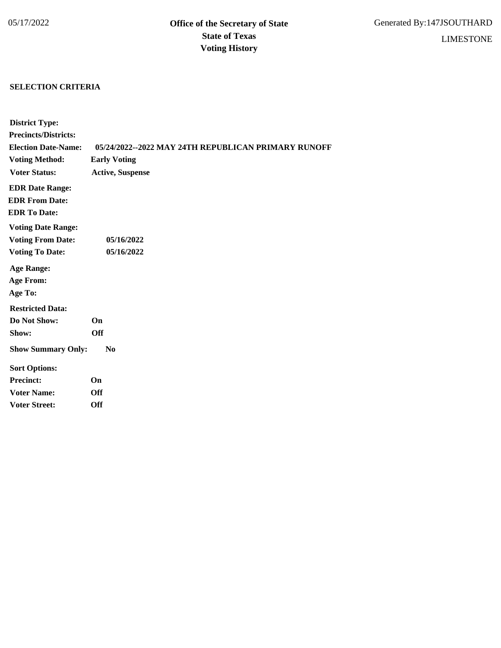## **SELECTION CRITERIA**

| <b>District Type:</b>       |                                                     |
|-----------------------------|-----------------------------------------------------|
| <b>Precincts/Districts:</b> |                                                     |
| <b>Election Date-Name:</b>  | 05/24/2022--2022 MAY 24TH REPUBLICAN PRIMARY RUNOFF |
| <b>Voting Method:</b>       | <b>Early Voting</b>                                 |
| <b>Voter Status:</b>        | <b>Active, Suspense</b>                             |
| <b>EDR Date Range:</b>      |                                                     |
| <b>EDR From Date:</b>       |                                                     |
| <b>EDR To Date:</b>         |                                                     |
| <b>Voting Date Range:</b>   |                                                     |
| <b>Voting From Date:</b>    | 05/16/2022                                          |
| <b>Voting To Date:</b>      | 05/16/2022                                          |
| <b>Age Range:</b>           |                                                     |
| <b>Age From:</b>            |                                                     |
| Age To:                     |                                                     |
| <b>Restricted Data:</b>     |                                                     |
| Do Not Show:                | On                                                  |
| Show:                       | <b>Off</b>                                          |
| <b>Show Summary Only:</b>   | N <sub>0</sub>                                      |
| <b>Sort Options:</b>        |                                                     |
| <b>Precinct:</b>            | On                                                  |
| <b>Voter Name:</b>          | Off                                                 |
| <b>Voter Street:</b>        | Off                                                 |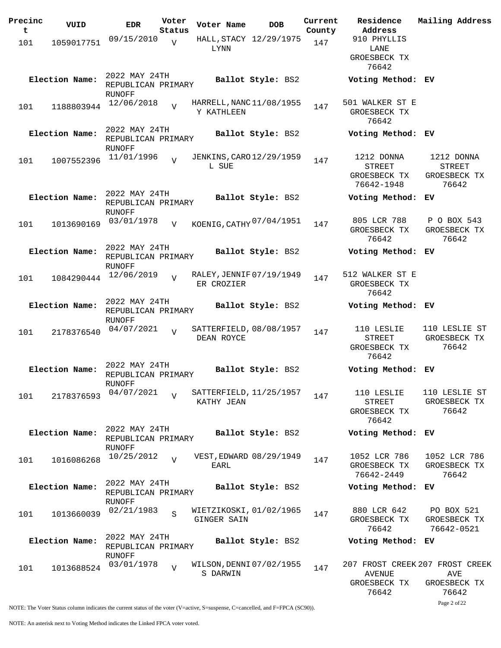| Precinc | VUID           | <b>EDR</b>                                           | Voter          | Voter Name                             | <b>DOB</b>             | Current | Residence                                                 | Mailing Address                                                 |
|---------|----------------|------------------------------------------------------|----------------|----------------------------------------|------------------------|---------|-----------------------------------------------------------|-----------------------------------------------------------------|
| t       |                | 09/15/2010                                           | Status         |                                        | HALL, STACY 12/29/1975 | County  | Address<br>910 PHYLLIS                                    |                                                                 |
| 101     | 1059017751     |                                                      | $\overline{V}$ | <b>LYNN</b>                            |                        | 147     | LANE                                                      |                                                                 |
|         |                |                                                      |                |                                        |                        |         | GROESBECK TX<br>76642                                     |                                                                 |
|         | Election Name: | 2022 MAY 24TH<br>REPUBLICAN PRIMARY                  |                |                                        | Ballot Style: BS2      |         | Voting Method: EV                                         |                                                                 |
|         |                | RUNOFF<br>12/06/2018                                 |                | HARRELL, NANC 11/08/1955               |                        |         | 501 WALKER ST E                                           |                                                                 |
| 101     | 1188803944     |                                                      | $\overline{U}$ | Y KATHLEEN                             |                        | 147     | GROESBECK TX<br>76642                                     |                                                                 |
|         | Election Name: | 2022 MAY 24TH<br>REPUBLICAN PRIMARY<br>RUNOFF        |                |                                        | Ballot Style: BS2      |         | Voting Method: EV                                         |                                                                 |
| 101     | 1007552396     | 11/01/1996                                           | $\overline{U}$ | JENKINS, CARO 12/29/1959<br>L SUE      |                        | 147     | 1212 DONNA<br><b>STREET</b><br>GROESBECK TX<br>76642-1948 | 1212 DONNA<br>STREET<br>GROESBECK TX<br>76642                   |
|         | Election Name: | 2022 MAY 24TH<br>REPUBLICAN PRIMARY<br>RUNOFF        |                |                                        | Ballot Style: BS2      |         | Voting Method: EV                                         |                                                                 |
| 101     | 1013690169     | 03/01/1978                                           | $\overline{V}$ | KOENIG, CATHY 07/04/1951               |                        | 147     | 805 LCR 788<br>GROESBECK TX<br>76642                      | P O BOX 543<br>GROESBECK TX<br>76642                            |
|         | Election Name: | 2022 MAY 24TH<br>REPUBLICAN PRIMARY<br>RUNOFF        |                |                                        | Ballot Style: BS2      |         | Voting Method: EV                                         |                                                                 |
| 101     | 1084290444     | 12/06/2019                                           | $\overline{U}$ | RALEY, JENNIF 07/19/1949<br>ER CROZIER |                        | 147     | 512 WALKER ST E<br>GROESBECK TX<br>76642                  |                                                                 |
|         | Election Name: | 2022 MAY 24TH<br>REPUBLICAN PRIMARY<br>RUNOFF        |                |                                        | Ballot Style: BS2      |         | Voting Method: EV                                         |                                                                 |
| 101     | 2178376540     | 04/07/2021                                           | $\overline{U}$ | SATTERFIELD, 08/08/1957<br>DEAN ROYCE  |                        | 147     | 110 LESLIE<br><b>STREET</b><br>GROESBECK TX<br>76642      | 110 LESLIE ST<br>GROESBECK TX<br>76642                          |
|         | Election Name: | 2022 MAY 24TH<br>REPUBLICAN PRIMARY<br>RUNOFF        |                |                                        | Ballot Style: BS2      |         | Voting Method: EV                                         |                                                                 |
| 101     | 2178376593     | 04/07/2021                                           | $\overline{v}$ | SATTERFIELD, 11/25/1957<br>KATHY JEAN  |                        | 147     | 110 LESLIE<br><b>STREET</b><br>GROESBECK TX<br>76642      | 110 LESLIE ST<br>GROESBECK TX<br>76642                          |
|         | Election Name: | 2022 MAY 24TH<br>REPUBLICAN PRIMARY<br><b>RUNOFF</b> |                |                                        | Ballot Style: BS2      |         | Voting Method: EV                                         |                                                                 |
| 101     | 1016086268     | 10/25/2012                                           | $\overline{V}$ | VEST, EDWARD 08/29/1949<br><b>EARL</b> |                        | 147     | 1052 LCR 786<br>GROESBECK TX<br>76642-2449                | 1052 LCR 786<br>GROESBECK TX<br>76642                           |
|         | Election Name: | 2022 MAY 24TH<br>REPUBLICAN PRIMARY<br>RUNOFF        |                |                                        | Ballot Style: BS2      |         | Voting Method: EV                                         |                                                                 |
| 101     | 1013660039     | 02/21/1983                                           | S              | WIETZIKOSKI, 01/02/1965<br>GINGER SAIN |                        | 147     | 880 LCR 642<br>GROESBECK TX<br>76642                      | PO BOX 521<br>GROESBECK TX<br>76642-0521                        |
|         | Election Name: | 2022 MAY 24TH<br>REPUBLICAN PRIMARY<br><b>RUNOFF</b> |                |                                        | Ballot Style: BS2      |         | Voting Method: EV                                         |                                                                 |
| 101     | 1013688524     | 03/01/1978                                           | $\overline{V}$ | WILSON, DENNI 07/02/1955<br>S DARWIN   |                        | 147     | AVENUE<br>GROESBECK TX<br>76642                           | 207 FROST CREEK 207 FROST CREEK<br>AVE<br>GROESBECK TX<br>76642 |

Page 2 of 22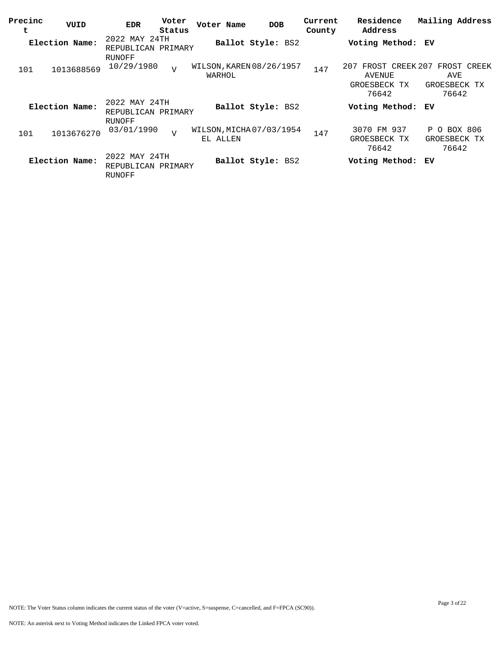| Precinc<br>t | VUID           | Voter<br><b>EDR</b><br>Status                 | Voter Name                           | <b>DOB</b>        | Current<br>County | Residence<br>Address                                      | Mailing Address                             |
|--------------|----------------|-----------------------------------------------|--------------------------------------|-------------------|-------------------|-----------------------------------------------------------|---------------------------------------------|
|              | Election Name: | 2022 MAY 24TH<br>REPUBLICAN PRIMARY<br>RUNOFF | Ballot Style: BS2                    |                   |                   | Voting Method: EV                                         |                                             |
| 101          | 1013688569     | 10/29/1980<br>$\overline{V}$                  | WILSON, KAREN 08/26/1957<br>WARHOL   |                   | 147               | FROST CREEK 207<br>207<br>AVENUE<br>GROESBECK TX<br>76642 | FROST CREEK<br>AVE<br>GROESBECK TX<br>76642 |
|              | Election Name: | 2022 MAY 24TH<br>REPUBLICAN PRIMARY<br>RUNOFF | Ballot Style: BS2                    |                   |                   | Voting Method:                                            | ЕV                                          |
| 101          | 1013676270     | 03/01/1990<br>$\overline{V}$                  | WILSON, MICHA 07/03/1954<br>EL ALLEN |                   | 147               | 3070 FM 937<br>GROESBECK TX<br>76642                      | P O BOX 806<br>GROESBECK TX<br>76642        |
|              | Election Name: | 2022 MAY 24TH<br>REPUBLICAN PRIMARY<br>RUNOFF |                                      | Ballot Style: BS2 |                   | Voting Method: EV                                         |                                             |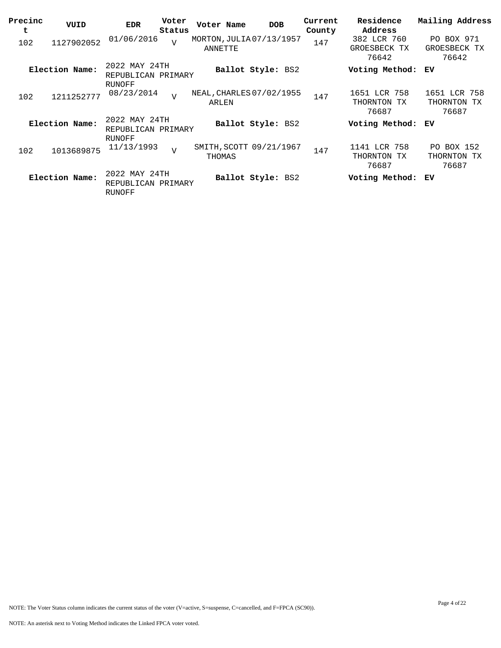| Precinc<br>t | VUID           | <b>EDR</b>                                    | Voter<br>Status | Voter Name | <b>DOB</b>               | Current<br>County | Residence<br>Address                    | Mailing Address                      |
|--------------|----------------|-----------------------------------------------|-----------------|------------|--------------------------|-------------------|-----------------------------------------|--------------------------------------|
| 102          | 1127902052     | 01/06/2016                                    | $\overline{V}$  | ANNETTE    | MORTON, JULIA 07/13/1957 | 147               | 382 LCR 760<br>GROESBECK<br>TХ<br>76642 | PO BOX 971<br>GROESBECK TX<br>76642  |
|              | Election Name: | 2022 MAY 24TH<br>REPUBLICAN PRIMARY<br>RUNOFF |                 |            | Ballot Style: BS2        |                   | Voting Method:                          | ЕV                                   |
| 102          | 1211252777     | 08/23/2014                                    | $\overline{V}$  | ARLEN      | NEAL, CHARLES 07/02/1955 | 147               | 1651 LCR 758<br>THORNTON TX<br>76687    | 1651 LCR 758<br>THORNTON TX<br>76687 |
|              | Election Name: | 2022 MAY 24TH<br>REPUBLICAN PRIMARY<br>RUNOFF |                 |            | Ballot Style: BS2        |                   | Voting Method: EV                       |                                      |
| 102          | 1013689875     | 11/13/1993                                    | $\overline{v}$  | THOMAS     | SMITH, SCOTT 09/21/1967  | 147               | 1141 LCR 758<br>THORNTON TX<br>76687    | PO BOX 152<br>THORNTON TX<br>76687   |
|              | Election Name: | 2022 MAY 24TH<br>REPUBLICAN PRIMARY<br>RUNOFF |                 |            | Ballot Style: BS2        |                   | Voting Method:                          | ЕV                                   |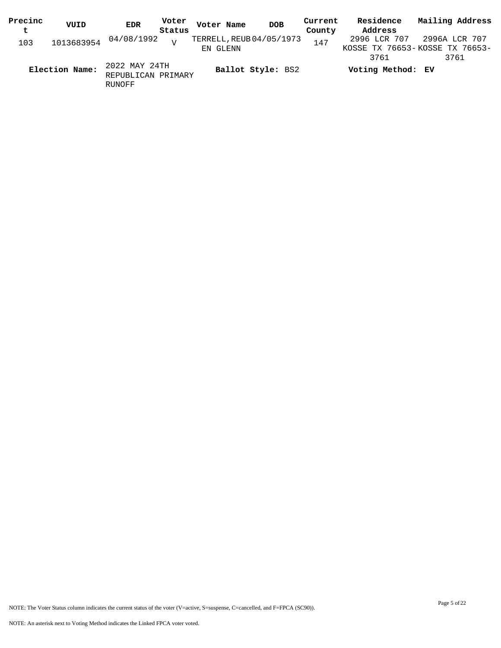| Precinc | VUID           | <b>EDR</b>                                    | Voter           | Voter Name               | <b>DOB</b>        | Current | Residence         | Mailing Address                |
|---------|----------------|-----------------------------------------------|-----------------|--------------------------|-------------------|---------|-------------------|--------------------------------|
| t       |                |                                               | Status          |                          |                   | County  | Address           |                                |
| 103     |                | 1013683954 04/08/1992                         | $\overline{17}$ | TERRELL, REUB 04/05/1973 |                   | 147     | 2996 LCR 707      | 2996A LCR 707                  |
|         |                |                                               |                 | EN GLENN                 |                   |         |                   | KOSSE TX 76653-KOSSE TX 76653- |
|         |                |                                               |                 |                          |                   |         | 3761              | 3761                           |
|         | Election Name: | 2022 MAY 24TH<br>REPUBLICAN PRIMARY<br>RUNOFF |                 |                          | Ballot Style: BS2 |         | Voting Method: EV |                                |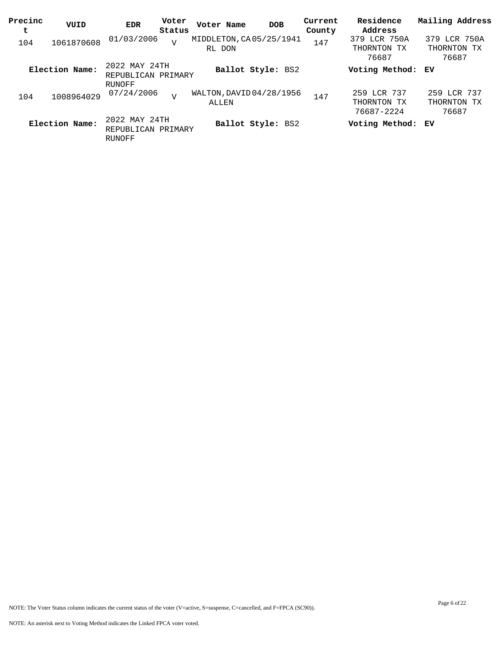| Precinc<br>t | VUID           | <b>EDR</b>                                    | Voter<br>Status | Voter Name                        | <b>DOB</b>        | Current<br>County | Residence<br>Address                     | Mailing Address                      |
|--------------|----------------|-----------------------------------------------|-----------------|-----------------------------------|-------------------|-------------------|------------------------------------------|--------------------------------------|
| 104          | 1061870608     | 01/03/2006                                    | $\overline{V}$  | MIDDLETON, CA05/25/1941<br>RL DON |                   | 147               | 379 LCR 750A<br>THORNTON TX<br>76687     | 379 LCR 750A<br>THORNTON TX<br>76687 |
|              | Election Name: | 2022 MAY 24TH<br>REPUBLICAN PRIMARY<br>RUNOFF |                 |                                   | Ballot Style: BS2 |                   | Voting Method: EV                        |                                      |
| 104          | 1008964029     | 07/24/2006                                    | $\overline{V}$  | WALTON, DAVID 04/28/1956<br>ALLEN |                   | 147               | 259 LCR 737<br>THORNTON TX<br>76687-2224 | 259 LCR 737<br>THORNTON TX<br>76687  |
|              | Election Name: | 2022 MAY 24TH<br>REPUBLICAN PRIMARY<br>RUNOFF |                 |                                   | Ballot Style: BS2 |                   | Voting Method: EV                        |                                      |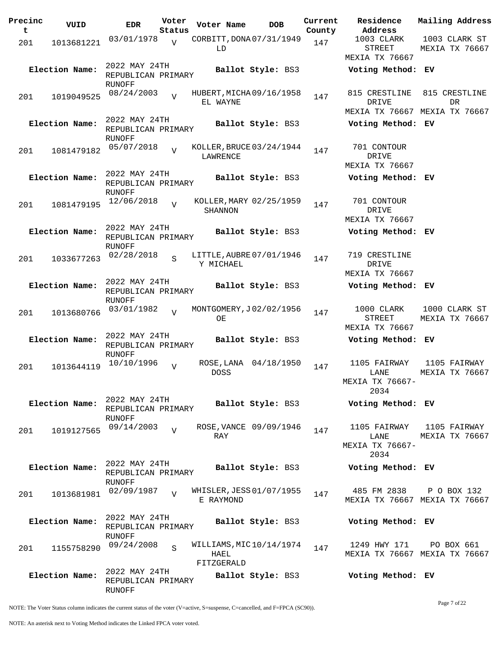| Precinc<br>t | VUID           | <b>EDR</b>                                           | Voter<br>Status | Voter Name                                    | <b>DOB</b>             | Current<br>County | Residence<br>Address                            | Mailing Address                              |
|--------------|----------------|------------------------------------------------------|-----------------|-----------------------------------------------|------------------------|-------------------|-------------------------------------------------|----------------------------------------------|
| 201          | 1013681221     | 03/01/1978                                           | $\overline{V}$  | CORBITT, DONA 07/31/1949<br>LD                |                        | 147               | 1003 CLARK<br><b>STREET</b><br>MEXIA TX 76667   | 1003 CLARK ST<br>MEXIA TX 76667              |
|              | Election Name: | 2022 MAY 24TH<br>REPUBLICAN PRIMARY                  |                 |                                               | Ballot Style: BS3      |                   | Voting Method: EV                               |                                              |
| 201          | 1019049525     | RUNOFF<br>08/24/2003                                 | $\overline{z}$  | HUBERT, MICHA 09/16/1958<br>EL WAYNE          |                        | 147               | 815 CRESTLINE<br>DRIVE                          | 815 CRESTLINE<br>DR                          |
|              | Election Name: | 2022 MAY 24TH<br>REPUBLICAN PRIMARY                  |                 |                                               | Ballot Style: BS3      |                   | Voting Method: EV                               | MEXIA TX 76667 MEXIA TX 76667                |
| 201          | 1081479182     | RUNOFF<br>05/07/2018                                 | $\overline{U}$  | KOLLER, BRUCE 03/24/1944<br>LAWRENCE          |                        | 147               | 701 CONTOUR<br>DRIVE<br>MEXIA TX 76667          |                                              |
|              | Election Name: | 2022 MAY 24TH<br>REPUBLICAN PRIMARY<br>RUNOFF        |                 |                                               | Ballot Style: BS3      |                   | Voting Method: EV                               |                                              |
| 201          | 1081479195     | 12/06/2018                                           | $\overline{z}$  | KOLLER, MARY 02/25/1959<br>SHANNON            |                        | 147               | 701 CONTOUR<br>DRIVE<br>MEXIA TX 76667          |                                              |
|              | Election Name: | 2022 MAY 24TH<br>REPUBLICAN PRIMARY<br>RUNOFF        |                 |                                               | Ballot Style: BS3      |                   | Voting Method: EV                               |                                              |
| 201          | 1033677263     | 02/28/2018                                           | S               | LITTLE, AUBRE 07/01/1946<br>Y MICHAEL         |                        | 147               | 719 CRESTLINE<br>DRIVE<br>MEXIA TX 76667        |                                              |
|              | Election Name: | 2022 MAY 24TH<br>REPUBLICAN PRIMARY<br>RUNOFF        |                 |                                               | Ballot Style: BS3      |                   | Voting Method: EV                               |                                              |
| 201          | 1013680766     | 03/01/1982                                           | $\overline{U}$  | MONTGOMERY, J02/02/1956<br>OE                 |                        | 147               | 1000 CLARK<br><b>STREET</b><br>MEXIA TX 76667   | 1000 CLARK ST<br>MEXIA TX 76667              |
|              | Election Name: | 2022 MAY 24TH<br>REPUBLICAN PRIMARY<br>RUNOFF        |                 |                                               | Ballot Style: BS3      |                   | Voting Method:                                  | ЕV                                           |
| 201          | 1013644119     | 10/10/1996                                           | $\overline{v}$  | ROSE, LANA<br><b>DOSS</b>                     | 04/18/1950             | 147               | 1105 FAIRWAY<br>LANE<br>MEXIA TX 76667-<br>2034 | 1105 FAIRWAY<br>MEXIA TX 76667               |
|              | Election Name: | 2022 MAY 24TH<br>REPUBLICAN PRIMARY<br>RUNOFF        |                 |                                               | Ballot Style: BS3      |                   | Voting Method: EV                               |                                              |
| 201          | 1019127565     | 09/14/2003                                           | $\overline{z}$  | RAY                                           | ROSE, VANCE 09/09/1946 | 147               | LANE<br>MEXIA TX 76667-<br>2034                 | 1105 FAIRWAY 1105 FAIRWAY<br>MEXIA TX 76667  |
|              | Election Name: | 2022 MAY 24TH<br>REPUBLICAN PRIMARY<br><b>RUNOFF</b> |                 |                                               | Ballot Style: BS3      |                   | Voting Method: EV                               |                                              |
| 201          | 1013681981     | 02/09/1987                                           | $\overline{U}$  | WHISLER, JESS 01/07/1955<br>E RAYMOND         |                        | 147               | 485 FM 2838                                     | P O BOX 132<br>MEXIA TX 76667 MEXIA TX 76667 |
|              | Election Name: | 2022 MAY 24TH<br>REPUBLICAN PRIMARY<br>RUNOFF        |                 |                                               | Ballot Style: BS3      |                   | Voting Method: EV                               |                                              |
| 201          | 1155758290     | 09/24/2008                                           | S               | WILLIAMS, MIC10/14/1974<br>HAEL<br>FITZGERALD |                        | 147               | 1249 HWY 171                                    | PO BOX 661<br>MEXIA TX 76667 MEXIA TX 76667  |
|              | Election Name: | 2022 MAY 24TH<br>REPUBLICAN PRIMARY<br>RUNOFF        |                 |                                               | Ballot Style: BS3      |                   | Voting Method: EV                               |                                              |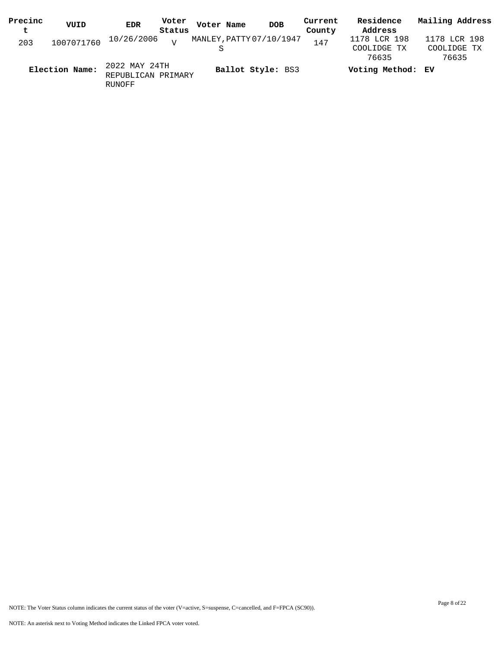| Precinc | VUID           | EDR                     | Voter  | Voter Name | <b>DOB</b>               | Current | Residence         | Mailing Address |
|---------|----------------|-------------------------|--------|------------|--------------------------|---------|-------------------|-----------------|
| t.      |                |                         | Status |            |                          | County  | Address           |                 |
| 203     | 1007071760     | $10/26/2006$ $_{\rm V}$ |        |            | MANLEY, PATTY 07/10/1947 | 147     | 1178 LCR 198      | 1178 LCR 198    |
|         |                |                         |        |            |                          |         | COOLIDGE TX       | COOLIDGE TX     |
|         |                |                         |        |            |                          |         | 76635             | 76635           |
|         | Election Name: | 2022 MAY 24TH           |        |            | Ballot Style: BS3        |         | Voting Method: EV |                 |
|         |                | REPUBLICAN PRIMARY      |        |            |                          |         |                   |                 |

RUNOFF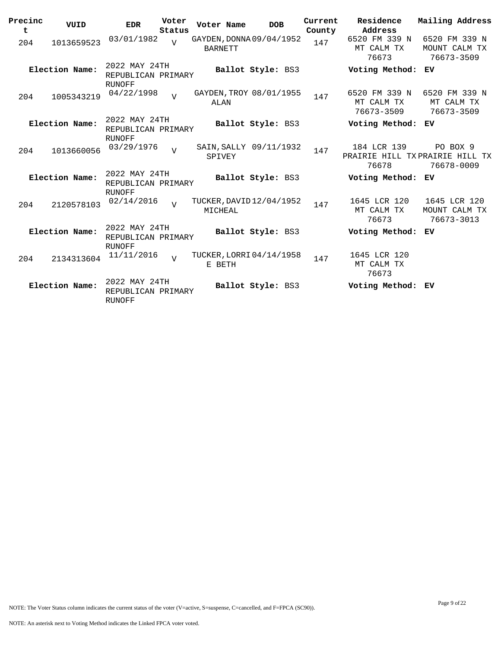| Precinc<br>t | VUID           | <b>EDR</b>                                           | Voter<br>Status | Voter Name     | <b>DOB</b>               | Current<br>County | Residence<br>Address                                   | Mailing Address                              |
|--------------|----------------|------------------------------------------------------|-----------------|----------------|--------------------------|-------------------|--------------------------------------------------------|----------------------------------------------|
| 204          | 1013659523     | 03/01/1982                                           | $\overline{U}$  | <b>BARNETT</b> | GAYDEN, DONNA 09/04/1952 | 147               | 6520 FM 339 N<br>MT CALM TX<br>76673                   | 6520 FM 339 N<br>MOUNT CALM TX<br>76673-3509 |
|              | Election Name: | 2022 MAY 24TH<br>REPUBLICAN PRIMARY<br><b>RUNOFF</b> |                 |                | Ballot Style: BS3        |                   | Voting Method: EV                                      |                                              |
| 204          | 1005343219     | 04/22/1998                                           | $\overline{17}$ | ALAN           | GAYDEN, TROY 08/01/1955  | 147               | 6520 FM 339 N<br>MT CALM TX<br>76673-3509              | 6520 FM 339 N<br>MT CALM TX<br>76673-3509    |
|              | Election Name: | 2022 MAY 24TH<br>REPUBLICAN PRIMARY<br><b>RUNOFF</b> |                 |                | Ballot Style: BS3        |                   | Voting Method: EV                                      |                                              |
| 204          | 1013660056     | 03/29/1976                                           | $\overline{U}$  | SPIVEY         | SAIN, SALLY 09/11/1932   | 147               | 184 LCR 139<br>PRAIRIE HILL TXPRAIRIE HILL TX<br>76678 | PO BOX 9<br>76678-0009                       |
|              | Election Name: | 2022 MAY 24TH<br>REPUBLICAN PRIMARY<br><b>RUNOFF</b> |                 |                | Ballot Style: BS3        |                   | Voting Method: EV                                      |                                              |
| 204          | 2120578103     | 02/14/2016                                           | $\overline{U}$  | MICHEAL        | TUCKER, DAVID 12/04/1952 | 147               | 1645 LCR 120<br>MT CALM TX<br>76673                    | 1645 LCR 120<br>MOUNT CALM TX<br>76673-3013  |
|              | Election Name: | 2022 MAY 24TH<br>REPUBLICAN PRIMARY<br><b>RUNOFF</b> |                 |                | Ballot Style: BS3        |                   | Voting Method: EV                                      |                                              |
| 204          | 2134313604     | 11/11/2016                                           | $\overline{v}$  | E BETH         | TUCKER, LORRI 04/14/1958 | 147               | 1645 LCR 120<br>MT CALM TX<br>76673                    |                                              |
|              | Election Name: | 2022 MAY 24TH<br>REPUBLICAN PRIMARY<br><b>RUNOFF</b> |                 |                | Ballot Style: BS3        |                   | Voting Method: EV                                      |                                              |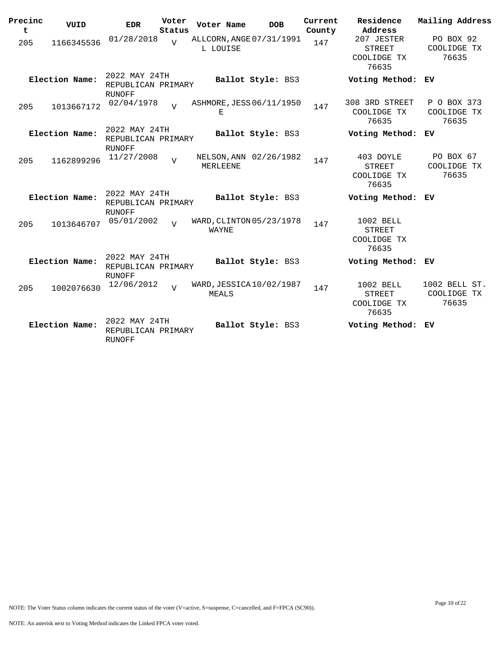| Precinc<br>t | VUID           | <b>EDR</b>                                           | Voter<br>Status | Voter Name                           | <b>DOB</b>        | Current<br>County | Residence<br>Address                                | Mailing Address                       |
|--------------|----------------|------------------------------------------------------|-----------------|--------------------------------------|-------------------|-------------------|-----------------------------------------------------|---------------------------------------|
| 205          | 1166345536     | 01/28/2018                                           | $\overline{U}$  | ALLCORN, ANGE 07/31/1991<br>L LOUISE |                   | 147               | 207 JESTER<br><b>STREET</b><br>COOLIDGE TX<br>76635 | PO BOX 92<br>COOLIDGE TX<br>76635     |
|              | Election Name: | 2022 MAY 24TH<br>REPUBLICAN PRIMARY<br><b>RUNOFF</b> |                 |                                      | Ballot Style: BS3 |                   | Voting Method:                                      | ЕV                                    |
| 205          | 1013667172     | 02/04/1978                                           | $\overline{U}$  | ASHMORE, JESS 06/11/1950<br>Е        |                   | 147               | 308 3RD STREET<br>COOLIDGE TX<br>76635              | P O BOX 373<br>COOLIDGE TX<br>76635   |
|              | Election Name: | 2022 MAY 24TH<br>REPUBLICAN PRIMARY<br><b>RUNOFF</b> |                 |                                      | Ballot Style: BS3 |                   | Voting Method: EV                                   |                                       |
| 205          | 1162899296     | 11/27/2008                                           | $\overline{v}$  | NELSON, ANN 02/26/1982<br>MERLEENE   |                   | 147               | 403 DOYLE<br>STREET<br>COOLIDGE TX<br>76635         | PO BOX 67<br>COOLIDGE TX<br>76635     |
|              | Election Name: | 2022 MAY 24TH<br>REPUBLICAN PRIMARY<br><b>RUNOFF</b> |                 |                                      | Ballot Style: BS3 |                   | Voting Method: EV                                   |                                       |
| 205          | 1013646707     | 05/01/2002                                           | $\overline{17}$ | WARD, CLINTON 05/23/1978<br>WAYNE    |                   | 147               | 1002 BELL<br><b>STREET</b><br>COOLIDGE TX<br>76635  |                                       |
|              | Election Name: | 2022 MAY 24TH<br>REPUBLICAN PRIMARY<br><b>RUNOFF</b> |                 |                                      | Ballot Style: BS3 |                   | Voting Method: EV                                   |                                       |
| 205          | 1002076630     | 12/06/2012                                           | $\overline{V}$  | WARD, JESSICA 10/02/1987<br>MEALS    |                   | 147               | 1002 BELL<br><b>STREET</b><br>COOLIDGE TX<br>76635  | 1002 BELL ST.<br>COOLIDGE TX<br>76635 |
|              | Election Name: | 2022 MAY 24TH<br>REPUBLICAN PRIMARY<br><b>RUNOFF</b> |                 |                                      | Ballot Style: BS3 |                   | Voting Method:                                      | ЕV                                    |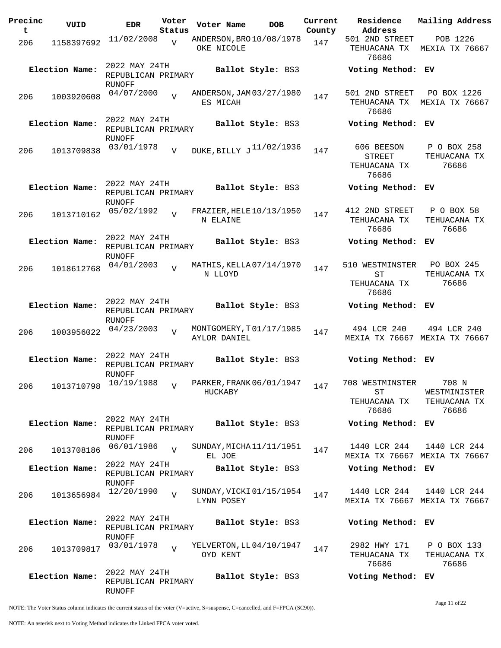| Precinc<br>t | VUID           | <b>EDR</b>                                    | Voter<br>Status | Voter Name                              | <b>DOB</b>               | Current<br>County | Residence<br>Address                                 | Mailing Address                                |
|--------------|----------------|-----------------------------------------------|-----------------|-----------------------------------------|--------------------------|-------------------|------------------------------------------------------|------------------------------------------------|
| 206          | 1158397692     | 11/02/2008                                    | $\overline{v}$  | ANDERSON, BRO 10/08/1978<br>OKE NICOLE  |                          | 147               | 501 2ND STREET<br>TEHUACANA TX<br>76686              | POB 1226<br>MEXIA TX 76667                     |
|              | Election Name: | 2022 MAY 24TH<br>REPUBLICAN PRIMARY<br>RUNOFF |                 |                                         | Ballot Style: BS3        |                   | Voting Method: EV                                    |                                                |
| 206          | 1003920608     | 04/07/2000                                    | $\overline{z}$  | ANDERSON, JAM 03/27/1980<br>ES MICAH    |                          | 147               | 501 2ND STREET<br>TEHUACANA TX<br>76686              | PO BOX 1226<br>MEXIA TX 76667                  |
|              | Election Name: | 2022 MAY 24TH<br>REPUBLICAN PRIMARY<br>RUNOFF |                 |                                         | <b>Ballot Style: BS3</b> |                   | Voting Method: EV                                    |                                                |
| 206          | 1013709838     | 03/01/1978                                    | $\overline{V}$  | DUKE, BILLY J <sup>11/02/1936</sup>     |                          | 147               | 606 BEESON<br><b>STREET</b><br>TEHUACANA TX<br>76686 | P O BOX 258<br>TEHUACANA TX<br>76686           |
|              | Election Name: | 2022 MAY 24TH<br>REPUBLICAN PRIMARY<br>RUNOFF |                 |                                         | Ballot Style: BS3        |                   | Voting Method: EV                                    |                                                |
| 206          | 1013710162     | 05/02/1992                                    | $\overline{V}$  | FRAZIER, HELE 10/13/1950<br>N ELAINE    |                          | 147               | 412 2ND STREET<br>TEHUACANA TX<br>76686              | P O BOX 58<br>TEHUACANA TX<br>76686            |
|              | Election Name: | 2022 MAY 24TH<br>REPUBLICAN PRIMARY<br>RUNOFF |                 |                                         | Ballot Style: BS3        |                   | Voting Method: EV                                    |                                                |
| 206          | 1018612768     | 04/01/2003                                    | $\overline{z}$  | MATHIS, KELLA 07/14/1970<br>N LLOYD     |                          | 147               | 510 WESTMINSTER<br>SТ<br>TEHUACANA TX<br>76686       | PO BOX 245<br>TEHUACANA TX<br>76686            |
|              | Election Name: | 2022 MAY 24TH<br>REPUBLICAN PRIMARY<br>RUNOFF |                 |                                         | Ballot Style: BS3        |                   | Voting Method: EV                                    |                                                |
| 206          | 1003956022     | 04/23/2003                                    | $\overline{V}$  | MONTGOMERY, T01/17/1985<br>AYLOR DANIEL |                          | 147               | 494 LCR 240                                          | 494 LCR 240<br>MEXIA TX 76667 MEXIA TX 76667   |
|              | Election Name: | 2022 MAY 24TH<br>REPUBLICAN PRIMARY<br>RUNOFF |                 |                                         | <b>Ballot Style: BS3</b> |                   | Voting Method: EV                                    |                                                |
| 206          |                | 1013710798 10/19/1988                         | V               | PARKER, FRANK 06/01/1947<br>HUCKABY     |                          | 147               | 708 WESTMINSTER<br>SТ<br>TEHUACANA TX<br>76686       | 708 N<br>WESTMINISTER<br>TEHUACANA TX<br>76686 |
|              | Election Name: | 2022 MAY 24TH<br>REPUBLICAN PRIMARY<br>RUNOFF |                 |                                         | Ballot Style: BS3        |                   | Voting Method: EV                                    |                                                |
| 206          | 1013708186     | 06/01/1986                                    | $\overline{U}$  | SUNDAY, MICHA 11/11/1951<br>EL JOE      |                          | 147               | 1440 LCR 244                                         | 1440 LCR 244<br>MEXIA TX 76667 MEXIA TX 76667  |
|              | Election Name: | 2022 MAY 24TH<br>REPUBLICAN PRIMARY<br>RUNOFF |                 |                                         | Ballot Style: BS3        |                   | Voting Method: EV                                    |                                                |
| 206          | 1013656984     | 12/20/1990                                    | $\overline{U}$  | SUNDAY, VICKI 01/15/1954<br>LYNN POSEY  |                          | 147               | 1440 LCR 244                                         | 1440 LCR 244<br>MEXIA TX 76667 MEXIA TX 76667  |
|              | Election Name: | 2022 MAY 24TH<br>REPUBLICAN PRIMARY<br>RUNOFF |                 |                                         | Ballot Style: BS3        |                   | Voting Method: EV                                    |                                                |
| 206          | 1013709817     | 03/01/1978                                    | $\overline{z}$  | YELVERTON, LL 04/10/1947<br>OYD KENT    |                          | 147               | 2982 HWY 171<br>TEHUACANA TX<br>76686                | P O BOX 133<br>TEHUACANA TX<br>76686           |
|              | Election Name: | 2022 MAY 24TH<br>REPUBLICAN PRIMARY<br>RUNOFF |                 |                                         | Ballot Style: BS3        |                   | Voting Method: EV                                    |                                                |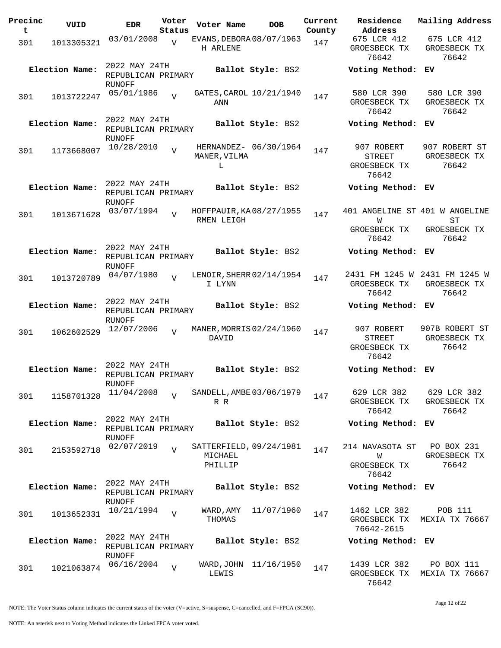| Precinc<br>t | VUID           | <b>EDR</b>                                           | Voter<br>Status | Voter Name          | <b>DOB</b>               | Current<br>County | Residence<br>Address                                         | Mailing Address                                        |
|--------------|----------------|------------------------------------------------------|-----------------|---------------------|--------------------------|-------------------|--------------------------------------------------------------|--------------------------------------------------------|
| 301          | 1013305321     | 03/01/2008                                           | $\overline{V}$  | H ARLENE            | EVANS, DEBORA 08/07/1963 | 147               | 675 LCR 412<br>GROESBECK TX<br>76642                         | 675 LCR 412<br>GROESBECK TX<br>76642                   |
|              | Election Name: | 2022 MAY 24TH<br>REPUBLICAN PRIMARY<br>RUNOFF        |                 |                     | Ballot Style: BS2        |                   | Voting Method: EV                                            |                                                        |
| 301          | 1013722247     | 05/01/1986                                           | $\overline{V}$  | ANN                 | GATES, CAROL 10/21/1940  | 147               | 580 LCR 390<br>GROESBECK TX<br>76642                         | 580 LCR 390<br>GROESBECK TX<br>76642                   |
|              | Election Name: | 2022 MAY 24TH<br>REPUBLICAN PRIMARY<br>RUNOFF        |                 |                     | Ballot Style: BS2        |                   | Voting Method: EV                                            |                                                        |
| 301          | 1173668007     | 10/28/2010                                           | $\overline{U}$  | MANER, VILMA<br>L   | HERNANDEZ- 06/30/1964    | 147               | 907 ROBERT<br><b>STREET</b><br>GROESBECK TX<br>76642         | 907 ROBERT ST<br>GROESBECK TX<br>76642                 |
|              | Election Name: | 2022 MAY 24TH<br>REPUBLICAN PRIMARY<br>RUNOFF        |                 |                     | Ballot Style: BS2        |                   | Voting Method: EV                                            |                                                        |
| 301          | 1013671628     | 03/07/1994                                           | $\overline{U}$  | RMEN LEIGH          | HOFFPAUIR, KA08/27/1955  | 147               | 401 ANGELINE ST 401 W ANGELINE<br>W<br>GROESBECK TX<br>76642 | ST<br>GROESBECK TX<br>76642                            |
|              | Election Name: | 2022 MAY 24TH<br>REPUBLICAN PRIMARY<br>RUNOFF        |                 |                     | Ballot Style: BS2        |                   | Voting Method: EV                                            |                                                        |
| 301          | 1013720789     | 04/07/1980                                           | $\overline{U}$  | I LYNN              | LENOIR, SHERR 02/14/1954 | 147               | GROESBECK TX<br>76642                                        | 2431 FM 1245 W 2431 FM 1245 W<br>GROESBECK TX<br>76642 |
|              | Election Name: | 2022 MAY 24TH<br>REPUBLICAN PRIMARY<br>RUNOFF        |                 |                     | Ballot Style: BS2        |                   | Voting Method: EV                                            |                                                        |
| 301          | 1062602529     | 12/07/2006                                           | $\overline{V}$  | DAVID               | MANER, MORRIS 02/24/1960 | 147               | 907 ROBERT<br><b>STREET</b><br>GROESBECK TX<br>76642         | 907B ROBERT ST<br>GROESBECK TX<br>76642                |
|              | Election Name: | 2022 MAY 24TH<br>REPUBLICAN PRIMARY<br><b>RUNOFF</b> |                 |                     | Ballot Style: BS2        |                   | Voting Method: EV                                            |                                                        |
| 301          | 1158701328     | 11/04/2008                                           | $\overline{v}$  | R R                 | SANDELL, AMBE 03/06/1979 | 147               | 629 LCR 382<br>GROESBECK TX<br>76642                         | 629 LCR 382<br>GROESBECK TX<br>76642                   |
|              | Election Name: | 2022 MAY 24TH<br>REPUBLICAN PRIMARY<br>RUNOFF        |                 |                     | Ballot Style: BS2        |                   | Voting Method: EV                                            |                                                        |
| 301          | 2153592718     | 02/07/2019                                           | $\overline{U}$  | MICHAEL<br>PHILLIP  | SATTERFIELD, 09/24/1981  | 147               | 214 NAVASOTA ST<br>W<br>GROESBECK TX<br>76642                | PO BOX 231<br>GROESBECK TX<br>76642                    |
|              | Election Name: | 2022 MAY 24TH<br>REPUBLICAN PRIMARY<br>RUNOFF        |                 |                     | Ballot Style: BS2        |                   | Voting Method: EV                                            |                                                        |
| 301          | 1013652331     | 10/21/1994                                           | $\overline{V}$  | WARD, AMY<br>THOMAS | 11/07/1960               | 147               | 1462 LCR 382<br>GROESBECK TX<br>76642-2615                   | POB 111<br>MEXIA TX 76667                              |
|              | Election Name: | 2022 MAY 24TH<br>REPUBLICAN PRIMARY<br>RUNOFF        |                 |                     | Ballot Style: BS2        |                   | Voting Method: EV                                            |                                                        |
| 301          | 1021063874     | 06/16/2004                                           | $\overline{U}$  | LEWIS               | WARD, JOHN 11/16/1950    | 147               | 1439 LCR 382<br>GROESBECK TX<br>76642                        | PO BOX 111<br>MEXIA TX 76667                           |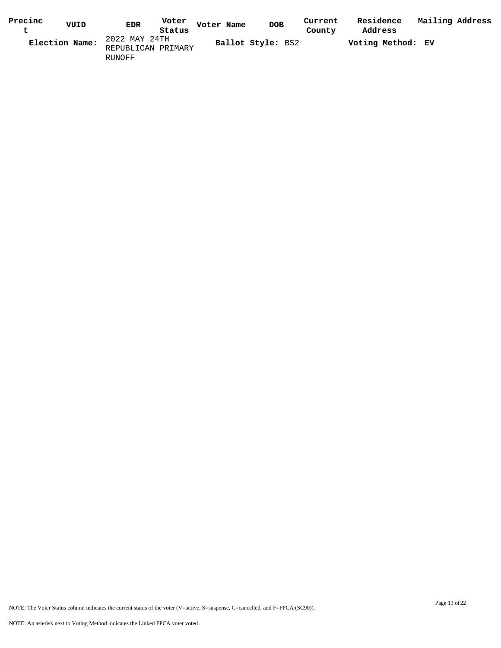| Precinc        | VUID | Voter<br><b>EDR</b> | Voter Name | <b>DOB</b>        | Current | Residence         | Mailing Address |  |
|----------------|------|---------------------|------------|-------------------|---------|-------------------|-----------------|--|
|                |      | Status              |            |                   | County  | Address           |                 |  |
| Election Name: |      | 2022 MAY 24TH       |            | Ballot Style: BS2 |         | Voting Method: EV |                 |  |
|                |      | REPUBLICAN PRIMARY  |            |                   |         |                   |                 |  |
|                |      | RUNOFF              |            |                   |         |                   |                 |  |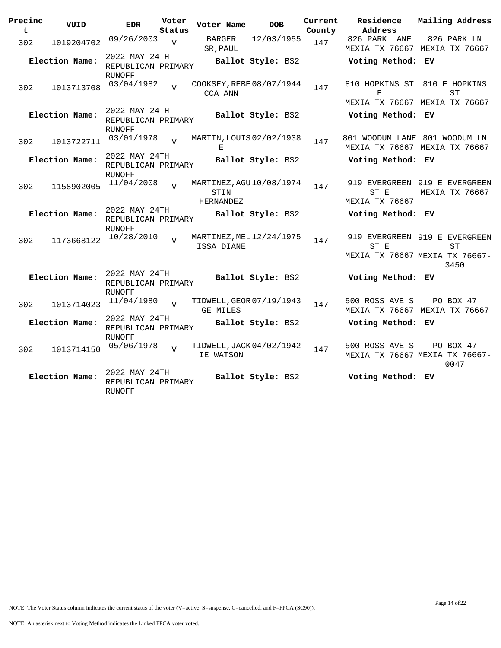| Precinc<br>t | VUID           | <b>EDR</b>                                           | Voter<br>Status | Voter Name        |        | <b>DOB</b>               | Current<br>County | Residence<br>Address                                                    | Mailing Address |                   |  |
|--------------|----------------|------------------------------------------------------|-----------------|-------------------|--------|--------------------------|-------------------|-------------------------------------------------------------------------|-----------------|-------------------|--|
| 302          | 1019204702     | 09/26/2003                                           | V               | SR, PAUL          | BARGER | 12/03/1955               | 147               | 826 PARK LANE<br>MEXIA TX 76667 MEXIA TX 76667                          |                 | 826 PARK LN       |  |
|              | Election Name: | 2022 MAY 24TH<br>REPUBLICAN PRIMARY                  |                 |                   |        | Ballot Style: BS2        |                   | Voting Method: EV                                                       |                 |                   |  |
| 302          | 1013713708     | <b>RUNOFF</b><br>03/04/1982                          | $\overline{z}$  | CCA ANN           |        | COOKSEY, REBE 08/07/1944 | 147               | 810 HOPKINS ST 810 E HOPKINS<br>F.                                      |                 | ST                |  |
|              | Election Name: | 2022 MAY 24TH<br>REPUBLICAN PRIMARY                  |                 |                   |        | Ballot Style: BS2        |                   | MEXIA TX 76667 MEXIA TX 76667<br>Voting Method: EV                      |                 |                   |  |
| 302          | 1013722711     | <b>RUNOFF</b><br>03/01/1978                          | $\overline{z}$  | Е                 |        | MARTIN, LOUIS 02/02/1938 | 147               | 801 WOODUM LANE 801 WOODUM LN<br>MEXIA TX 76667 MEXIA TX 76667          |                 |                   |  |
|              | Election Name: | 2022 MAY 24TH<br>REPUBLICAN PRIMARY<br><b>RUNOFF</b> |                 |                   |        | Ballot Style: BS2        |                   | Voting Method: EV                                                       |                 |                   |  |
| 302          | 1158902005     | 11/04/2008                                           | $\overline{U}$  | STIN<br>HERNANDEZ |        | MARTINEZ, AGU 10/08/1974 | 147               | 919 EVERGREEN 919 E EVERGREEN<br>ST E<br>MEXIA TX 76667                 | MEXIA TX 76667  |                   |  |
|              | Election Name: | 2022 MAY 24TH<br>REPUBLICAN PRIMARY<br><b>RUNOFF</b> |                 |                   |        | Ballot Style: BS2        |                   | Voting Method: EV                                                       |                 |                   |  |
| 302          | 1173668122     | 10/28/2010                                           | $\overline{17}$ | ISSA DIANE        |        | MARTINEZ, MEL 12/24/1975 | 147               | 919 EVERGREEN 919 E EVERGREEN<br>ST E<br>MEXIA TX 76667 MEXIA TX 76667- |                 | ST                |  |
|              |                | 2022 MAY 24TH                                        |                 |                   |        |                          |                   |                                                                         |                 | 3450              |  |
|              | Election Name: | REPUBLICAN PRIMARY<br><b>RUNOFF</b>                  |                 |                   |        | Ballot Style: BS2        |                   | Voting Method: EV                                                       |                 |                   |  |
| 302          | 1013714023     | 11/04/1980                                           | $\overline{V}$  | <b>GE MILES</b>   |        | TIDWELL, GEOR 07/19/1943 | 147               | 500 ROSS AVE S<br>MEXIA TX 76667 MEXIA TX 76667                         |                 | PO BOX 47         |  |
|              | Election Name: | 2022 MAY 24TH<br>REPUBLICAN PRIMARY<br><b>RUNOFF</b> |                 |                   |        | Ballot Style: BS2        |                   | Voting Method: EV                                                       |                 |                   |  |
| 302          | 1013714150     | 05/06/1978                                           | $\overline{U}$  | IE WATSON         |        | TIDWELL, JACK 04/02/1942 | 147               | 500 ROSS AVE S<br>MEXIA TX 76667 MEXIA TX 76667-                        |                 | PO BOX 47<br>0047 |  |
|              | Election Name: | 2022 MAY 24TH<br>REPUBLICAN PRIMARY<br>RUNOFF        |                 |                   |        | Ballot Style: BS2        |                   | Voting Method: EV                                                       |                 |                   |  |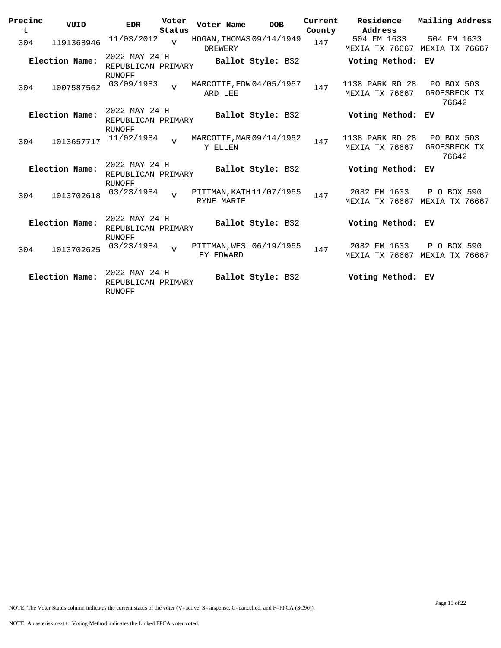| Precinc<br>t | VUID           | <b>EDR</b>                                           | Voter<br>Status | Voter Name | <b>DOB</b>               | Current<br>County | Residence<br>Address                     | Mailing Address                            |
|--------------|----------------|------------------------------------------------------|-----------------|------------|--------------------------|-------------------|------------------------------------------|--------------------------------------------|
| 304          | 1191368946     | 11/03/2012                                           | $\overline{U}$  | DREWERY    | HOGAN, THOMAS 09/14/1949 | 147               | 504 FM 1633<br>MEXIA TX 76667            | 504 FM 1633<br>MEXIA TX 76667              |
|              | Election Name: | 2022 MAY 24TH<br>REPUBLICAN PRIMARY<br><b>RUNOFF</b> |                 |            | Ballot Style: BS2        |                   | Voting Method: EV                        |                                            |
| 304          | 1007587562     | 03/09/1983                                           | $\overline{U}$  | ARD LEE    | MARCOTTE, EDW 04/05/1957 | 147               | 1138 PARK RD 28<br><b>MEXIA TX 76667</b> | PO BOX 503<br>GROESBECK TX<br>76642        |
|              | Election Name: | 2022 MAY 24TH<br>REPUBLICAN PRIMARY                  |                 |            | Ballot Style: BS2        |                   | Voting Method:                           | ЕV                                         |
| 304          | 1013657717     | RUNOFF<br>11/02/1984                                 | $\overline{U}$  | Y ELLEN    | MARCOTTE, MAR 09/14/1952 | 147               | 1138 PARK RD 28<br><b>MEXIA TX 76667</b> | <b>PO BOX 503</b><br>GROESBECK TX<br>76642 |
|              | Election Name: | 2022 MAY 24TH<br>REPUBLICAN PRIMARY<br><b>RUNOFF</b> |                 |            | Ballot Style: BS2        |                   | Voting Method:                           | ЕV                                         |
| 304          | 1013702618     | 03/23/1984                                           | T               | RYNE MARIE | PITTMAN, KATH 11/07/1955 | 147               | 2082 FM 1633<br>MEXIA TX 76667           | P O BOX 590<br>MEXIA TX 76667              |
|              | Election Name: | 2022 MAY 24TH<br>REPUBLICAN PRIMARY<br><b>RUNOFF</b> |                 |            | Ballot Style: BS2        |                   | Voting Method: EV                        |                                            |
| 304          | 1013702625     | 03/23/1984                                           | $\overline{U}$  | EY EDWARD  | PITTMAN, WESL 06/19/1955 | 147               | 2082 FM 1633<br>MEXIA TX 76667           | P O BOX 590<br>MEXIA TX 76667              |
|              | Election Name: | 2022 MAY 24TH<br>REPUBLICAN PRIMARY<br><b>RUNOFF</b> |                 |            | Ballot Style: BS2        |                   | Voting Method: EV                        |                                            |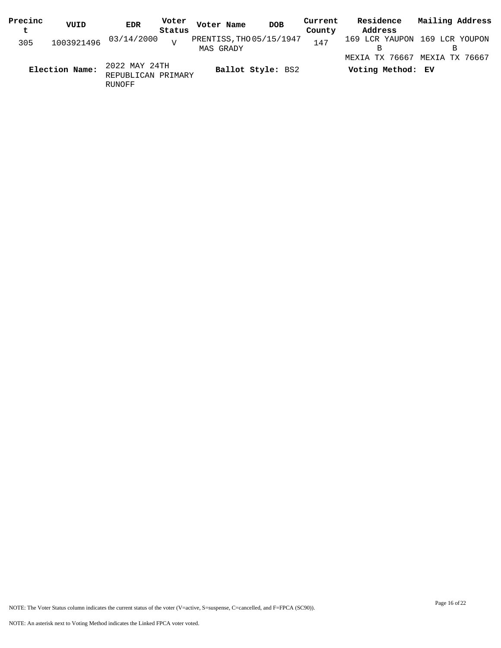| Precinc | VUID           | Voter<br><b>EDR</b>                           | Voter Name                            | <b>DOB</b>        | Current | Residence                           | Mailing Address               |
|---------|----------------|-----------------------------------------------|---------------------------------------|-------------------|---------|-------------------------------------|-------------------------------|
| t       |                | Status                                        |                                       |                   | County  | Address                             |                               |
| 305     |                | 1003921496 03/14/2000<br>$\tau$               | PRENTISS, THO 05/15/1947<br>MAS GRADY |                   | 147     |                                     | 169 LCR YAUPON 169 LCR YOUPON |
|         | Election Name: | 2022 MAY 24TH<br>REPUBLICAN PRIMARY<br>RUNOFF |                                       | Ballot Style: BS2 |         | MEXIA TX 76667<br>Voting Method: EV | MEXIA TX 76667                |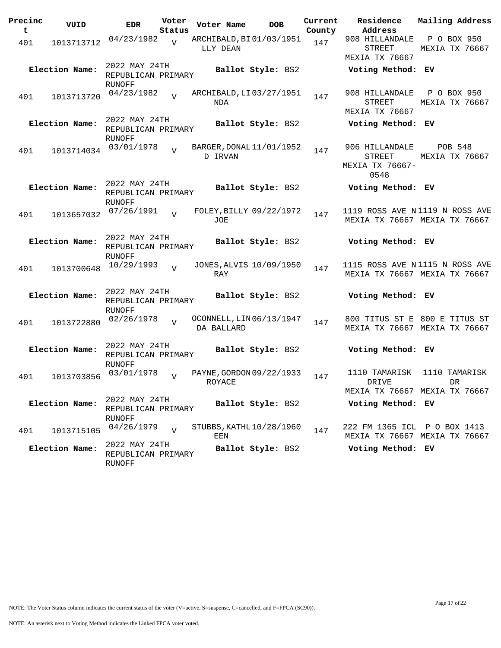| Precinc<br>t | VUID           | <b>EDR</b>                                           | Voter<br>Status | Voter Name                             | <b>DOB</b>        | Current<br>County | Residence<br>Address                                            | Mailing Address               |  |
|--------------|----------------|------------------------------------------------------|-----------------|----------------------------------------|-------------------|-------------------|-----------------------------------------------------------------|-------------------------------|--|
| 401          | 1013713712     | 04/23/1982                                           | $\overline{V}$  | ARCHIBALD, BI01/03/1951<br>LLY DEAN    |                   | 147               | 908 HILLANDALE<br><b>STREET</b><br><b>MEXIA TX 76667</b>        | P O BOX 950<br>MEXIA TX 76667 |  |
|              | Election Name: | 2022 MAY 24TH<br>REPUBLICAN PRIMARY<br>RUNOFF        |                 |                                        | Ballot Style: BS2 |                   | Voting Method: EV                                               |                               |  |
| 401          | 1013713720     | 04/23/1982                                           | $\overline{U}$  | ARCHIBALD, LI 03/27/1951<br>NDA        |                   | 147               | 908 HILLANDALE<br><b>STREET</b><br>MEXIA TX 76667               | P O BOX 950<br>MEXIA TX 76667 |  |
|              | Election Name: | 2022 MAY 24TH<br>REPUBLICAN PRIMARY<br>RUNOFF        |                 |                                        | Ballot Style: BS2 |                   | Voting Method: EV                                               |                               |  |
| 401          | 1013714034     | 03/01/1978                                           |                 | BARGER, DONAL 11/01/1952<br>D IRVAN    |                   | 147               | 906 HILLANDALE<br><b>STREET</b><br>MEXIA TX 76667-<br>0548      | POB 548<br>MEXIA TX 76667     |  |
|              | Election Name: | 2022 MAY 24TH<br>REPUBLICAN PRIMARY<br>RUNOFF        |                 |                                        | Ballot Style: BS2 |                   | Voting Method: EV                                               |                               |  |
| 401          | 1013657032     | 07/26/1991                                           | $\overline{U}$  | FOLEY, BILLY 09/22/1972<br>JOE         |                   | 147               | 1119 ROSS AVE N1119 N ROSS AVE<br>MEXIA TX 76667 MEXIA TX 76667 |                               |  |
|              | Election Name: | 2022 MAY 24TH<br>REPUBLICAN PRIMARY<br>RUNOFF        |                 |                                        | Ballot Style: BS2 |                   | Voting Method: EV                                               |                               |  |
| 401          | 1013700648     | 10/29/1993                                           | $\overline{U}$  | JONES, ALVIS 10/09/1950<br>RAY         |                   | 147               | 1115 ROSS AVE N1115 N ROSS AVE<br>MEXIA TX 76667 MEXIA TX 76667 |                               |  |
|              | Election Name: | 2022 MAY 24TH<br>REPUBLICAN PRIMARY<br>RUNOFF        |                 |                                        | Ballot Style: BS2 |                   | Voting Method: EV                                               |                               |  |
| 401          | 1013722880     | 02/26/1978                                           | $\overline{z}$  | OCONNELL, LIN 06/13/1947<br>DA BALLARD |                   | 147               | 800 TITUS ST E 800 E TITUS ST<br>MEXIA TX 76667 MEXIA TX 76667  |                               |  |
|              | Election Name: | 2022 MAY 24TH<br>REPUBLICAN PRIMARY<br><b>RUNOFF</b> |                 |                                        | Ballot Style: BS2 |                   | Voting Method: EV                                               |                               |  |
| 401          | 1013703856     | 03/01/1978                                           |                 | PAYNE, GORDON 09/22/1933<br>ROYACE     |                   | 147               | 1110 TAMARISK<br>DRIVE<br>MEXIA TX 76667 MEXIA TX 76667         | 1110 TAMARISK<br>DR           |  |
|              | Election Name: | 2022 MAY 24TH<br>REPUBLICAN PRIMARY                  |                 |                                        | Ballot Style: BS2 |                   | Voting Method: EV                                               |                               |  |
| 401          | 1013715105     | RUNOFF<br>04/26/1979                                 | $\overline{U}$  | STUBBS, KATHL $10/28/1960$<br>EEN      |                   | 147               | 222 FM 1365 ICL P O BOX 1413<br>MEXIA TX 76667 MEXIA TX 76667   |                               |  |
|              | Election Name: | 2022 MAY 24TH<br>REPUBLICAN PRIMARY<br>RUNOFF        |                 |                                        | Ballot Style: BS2 |                   | Voting Method: EV                                               |                               |  |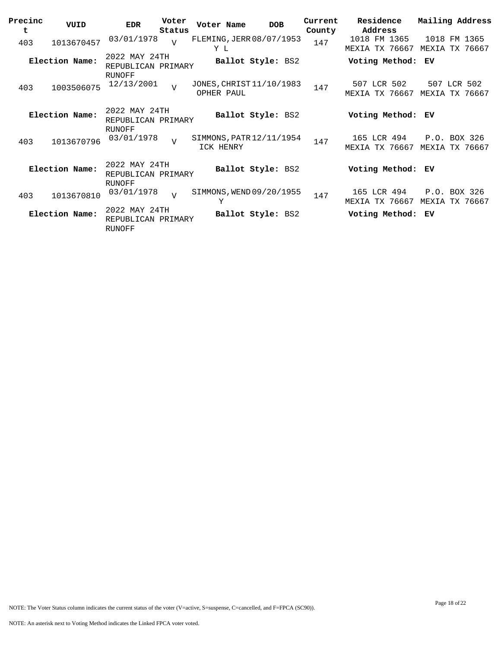| Precinc | VUID           | <b>EDR</b>                            | Voter          | Voter Name                             | <b>DOB</b>        | Current | Residence                             | Mailing Address |                          |
|---------|----------------|---------------------------------------|----------------|----------------------------------------|-------------------|---------|---------------------------------------|-----------------|--------------------------|
| t       |                |                                       | Status         |                                        |                   | County  | Address                               |                 |                          |
| 403     | 1013670457     | 03/01/1978                            | $\overline{U}$ | FLEMING, JERR 08/07/1953<br>Y L        |                   | 147     | 1018 FM 1365<br><b>MEXIA TX 76667</b> | MEXIA           | 1018 FM 1365<br>TX 76667 |
|         | Election Name: | 2022 MAY 24TH<br>REPUBLICAN PRIMARY   |                |                                        | Ballot Style: BS2 |         | Voting Method:                        | ЕV              |                          |
| 403     | 1003506075     | RUNOFF<br>12/13/2001                  | $\overline{v}$ | JONES, CHRIST 11/10/1983<br>OPHER PAUL |                   | 147     | 507 LCR 502<br>TX 76667<br>MEXIA      | MEXIA           | 507 LCR 502<br>TX 76667  |
|         | Election Name: | 2022 MAY 24TH<br>REPUBLICAN PRIMARY   |                |                                        | Ballot Style: BS2 |         | Voting Method: EV                     |                 |                          |
| 403     | 1013670796     | <b>RUNOFF</b><br>03/01/1978           | $\overline{v}$ | SIMMONS, PATR 12/11/1954<br>ICK HENRY  |                   | 147     | 165 LCR 494<br>TX 76667<br>MEXIA      | MEXIA           | P.O. BOX 326<br>TX 76667 |
|         | Election Name: | 2022 MAY 24TH<br>REPUBLICAN PRIMARY   |                |                                        | Ballot Style: BS2 |         | Voting Method:                        | ЕV              |                          |
| 403     | 1013670810     | <b>RUNOFF</b><br>03/01/1978           | $\overline{v}$ | SIMMONS, WEND 09/20/1955<br>Υ          |                   | 147     | 165 LCR 494<br>MEXIA TX 76667         | MEXIA           | P.O. BOX 326<br>TX 76667 |
|         | Election Name: | 2022 MAY 24TH<br>REPUBLICAN<br>RUNOFF | PRIMARY        |                                        | Ballot Style: BS2 |         | Voting Method:                        | ЕV              |                          |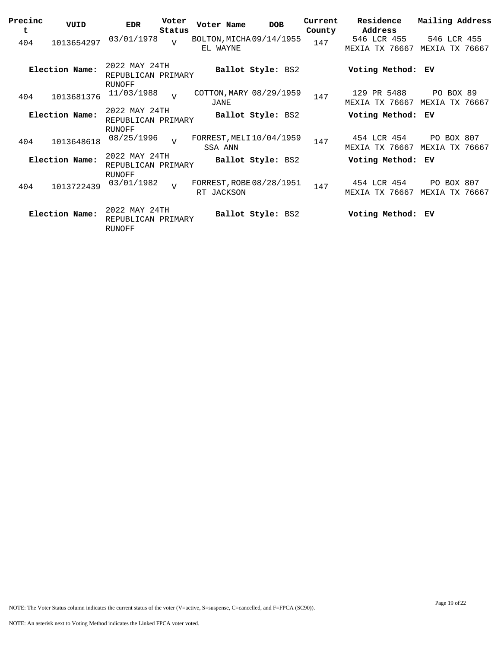| Precinc<br>t | VUID           | <b>EDR</b>                                           | Voter<br>Status | Voter Name                             | <b>DOB</b>        | Current<br>County | Residence<br>Address                 | Mailing Address              |          |
|--------------|----------------|------------------------------------------------------|-----------------|----------------------------------------|-------------------|-------------------|--------------------------------------|------------------------------|----------|
| 404          | 1013654297     | 03/01/1978                                           | $\overline{v}$  | BOLTON, MICHA 09/14/1955<br>EL WAYNE   |                   | 147               | 546 LCR 455<br>TX 76667<br>MEXIA     | 546 LCR 455<br>MEXIA         | TX 76667 |
|              | Election Name: | 2022 MAY 24TH<br>REPUBLICAN PRIMARY<br><b>RUNOFF</b> |                 |                                        | Ballot Style: BS2 |                   | Voting Method:                       | ЕV                           |          |
| 404          | 1013681376     | 11/03/1988                                           | $\overline{U}$  | COTTON, MARY 08/29/1959<br>JANE        |                   | 147               | 129 PR 5488<br>MEXIA TX 76667        | PO BOX 89<br>MEXIA TX 76667  |          |
|              | Election Name: | 2022 MAY 24TH<br>REPUBLICAN PRIMARY<br><b>RUNOFF</b> |                 |                                        | Ballot Style: BS2 |                   | Voting Method:                       | ЕV                           |          |
| 404          | 1013648618     | 08/25/1996                                           | $\overline{U}$  | FORREST, MELI 10/04/1959<br>SSA ANN    |                   | 147               | 454 LCR 454<br>MEXIA TX 76667        | PO BOX 807<br>MEXIA TX 76667 |          |
|              | Election Name: | 2022 MAY 24TH<br>REPUBLICAN PRIMARY<br><b>RUNOFF</b> |                 |                                        | Ballot Style: BS2 |                   | Voting Method: EV                    |                              |          |
| 404          | 1013722439     | 03/01/1982                                           | $\overline{v}$  | FORREST, ROBE 08/28/1951<br>RT JACKSON |                   | 147               | 454 LCR 454<br><b>MEXIA TX 76667</b> | <b>PO BOX 807</b><br>MEXIA   | TX 76667 |
|              | Election Name: | 2022 MAY 24TH<br>REPUBLICAN PRIMARY<br>RUNOFF        |                 |                                        | Ballot Style: BS2 |                   | Voting Method: EV                    |                              |          |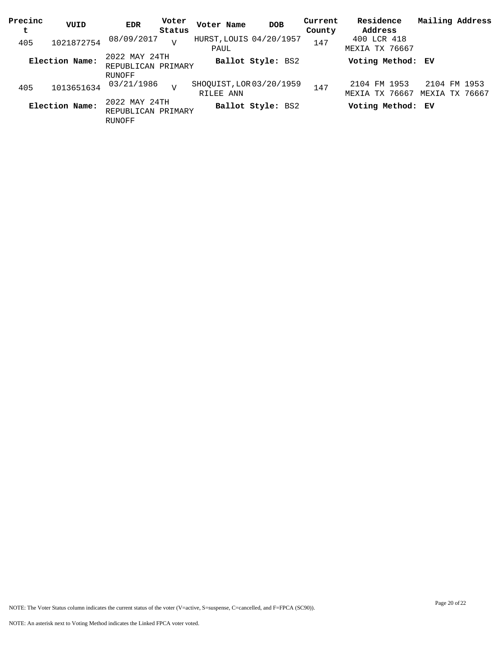| Precinc<br>t | VUID           | <b>EDR</b>                                           | Voter<br>Status | Voter Name                            | <b>DOB</b>        | Current<br>County | Residence<br>Address           | Mailing Address                |
|--------------|----------------|------------------------------------------------------|-----------------|---------------------------------------|-------------------|-------------------|--------------------------------|--------------------------------|
| 405          | 1021872754     | 08/09/2017                                           | $\overline{V}$  | HURST, LOUIS 04/20/1957<br>PAUL       |                   | 147               | 400 LCR 418<br>MEXIA TX 76667  |                                |
|              | Election Name: | 2022 MAY 24TH<br>REPUBLICAN PRIMARY                  |                 |                                       | Ballot Style: BS2 |                   | Voting Method: EV              |                                |
| 405          | 1013651634     | RUNOFF<br>03/21/1986                                 | $\overline{U}$  | SHOQUIST, LOR 03/20/1959<br>RILEE ANN |                   | 147               | 2104 FM 1953<br>MEXIA TX 76667 | 2104 FM 1953<br>MEXIA TX 76667 |
|              | Election Name: | 2022 MAY 24TH<br>REPUBLICAN PRIMARY<br><b>RUNOFF</b> |                 |                                       | Ballot Style: BS2 |                   | Voting Method: EV              |                                |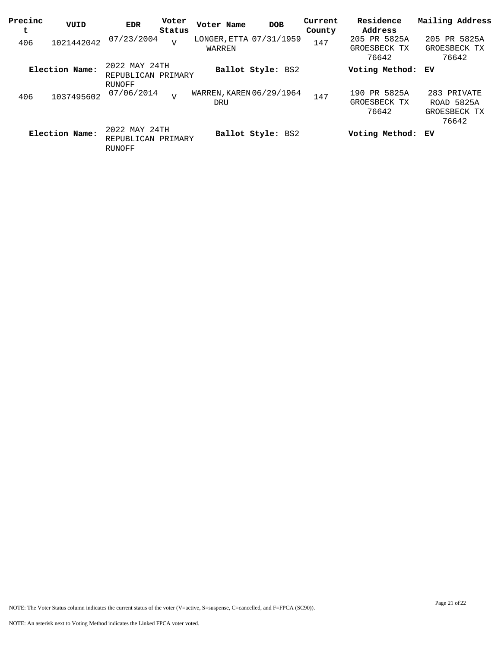| Precinc<br>t | VUID           | <b>EDR</b>                                    | Voter<br>Status | Voter Name                        | <b>DOB</b>        | Current<br>County | Residence<br>Address                  | Mailing Address                                           |
|--------------|----------------|-----------------------------------------------|-----------------|-----------------------------------|-------------------|-------------------|---------------------------------------|-----------------------------------------------------------|
| 406          | 1021442042     | 07/23/2004                                    | $\overline{V}$  | LONGER, ETTA 07/31/1959<br>WARREN |                   | 147               | 205 PR 5825A<br>GROESBECK TX<br>76642 | 205 PR 5825A<br>GROESBECK TX<br>76642                     |
|              | Election Name: | 2022 MAY 24TH<br>REPUBLICAN PRIMARY           |                 |                                   | Ballot Style: BS2 |                   | Voting Method: EV                     |                                                           |
| 406          | 1037495602     | RUNOFF<br>07/06/2014                          | $\overline{V}$  | WARREN, KAREN 06/29/1964<br>DRU   |                   | 147               | 190 PR 5825A<br>GROESBECK TX<br>76642 | 283 PRIVATE<br><b>ROAD 5825A</b><br>GROESBECK TX<br>76642 |
|              | Election Name: | 2022 MAY 24TH<br>REPUBLICAN PRIMARY<br>RUNOFF |                 |                                   | Ballot Style: BS2 |                   | Voting Method: EV                     |                                                           |